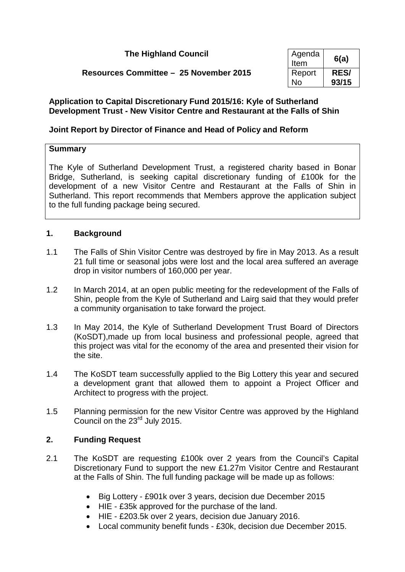| <b>The Highland Council</b>            | Agenda<br>Item      | 6(a)                 |
|----------------------------------------|---------------------|----------------------|
| Resources Committee - 25 November 2015 | Report<br><b>No</b> | <b>RES/</b><br>93/15 |

# **Application to Capital Discretionary Fund 2015/16: Kyle of Sutherland Development Trust - New Visitor Centre and Restaurant at the Falls of Shin**

# **Joint Report by Director of Finance and Head of Policy and Reform**

# **Summary**

The Kyle of Sutherland Development Trust, a registered charity based in Bonar Bridge, Sutherland, is seeking capital discretionary funding of £100k for the development of a new Visitor Centre and Restaurant at the Falls of Shin in Sutherland. This report recommends that Members approve the application subject to the full funding package being secured.

# **1. Background**

- 1.1 The Falls of Shin Visitor Centre was destroyed by fire in May 2013. As a result 21 full time or seasonal jobs were lost and the local area suffered an average drop in visitor numbers of 160,000 per year.
- 1.2 In March 2014, at an open public meeting for the redevelopment of the Falls of Shin, people from the Kyle of Sutherland and Lairg said that they would prefer a community organisation to take forward the project.
- 1.3 In May 2014, the Kyle of Sutherland Development Trust Board of Directors (KoSDT),made up from local business and professional people, agreed that this project was vital for the economy of the area and presented their vision for the site.
- 1.4 The KoSDT team successfully applied to the Big Lottery this year and secured a development grant that allowed them to appoint a Project Officer and Architect to progress with the project.
- 1.5 Planning permission for the new Visitor Centre was approved by the Highland Council on the 23rd July 2015.

# **2. Funding Request**

- 2.1 The KoSDT are requesting £100k over 2 years from the Council's Capital Discretionary Fund to support the new £1.27m Visitor Centre and Restaurant at the Falls of Shin. The full funding package will be made up as follows:
	- Big Lottery £901k over 3 years, decision due December 2015
	- HIE £35k approved for the purchase of the land.
	- HIE £203.5k over 2 years, decision due January 2016.
	- Local community benefit funds £30k, decision due December 2015.